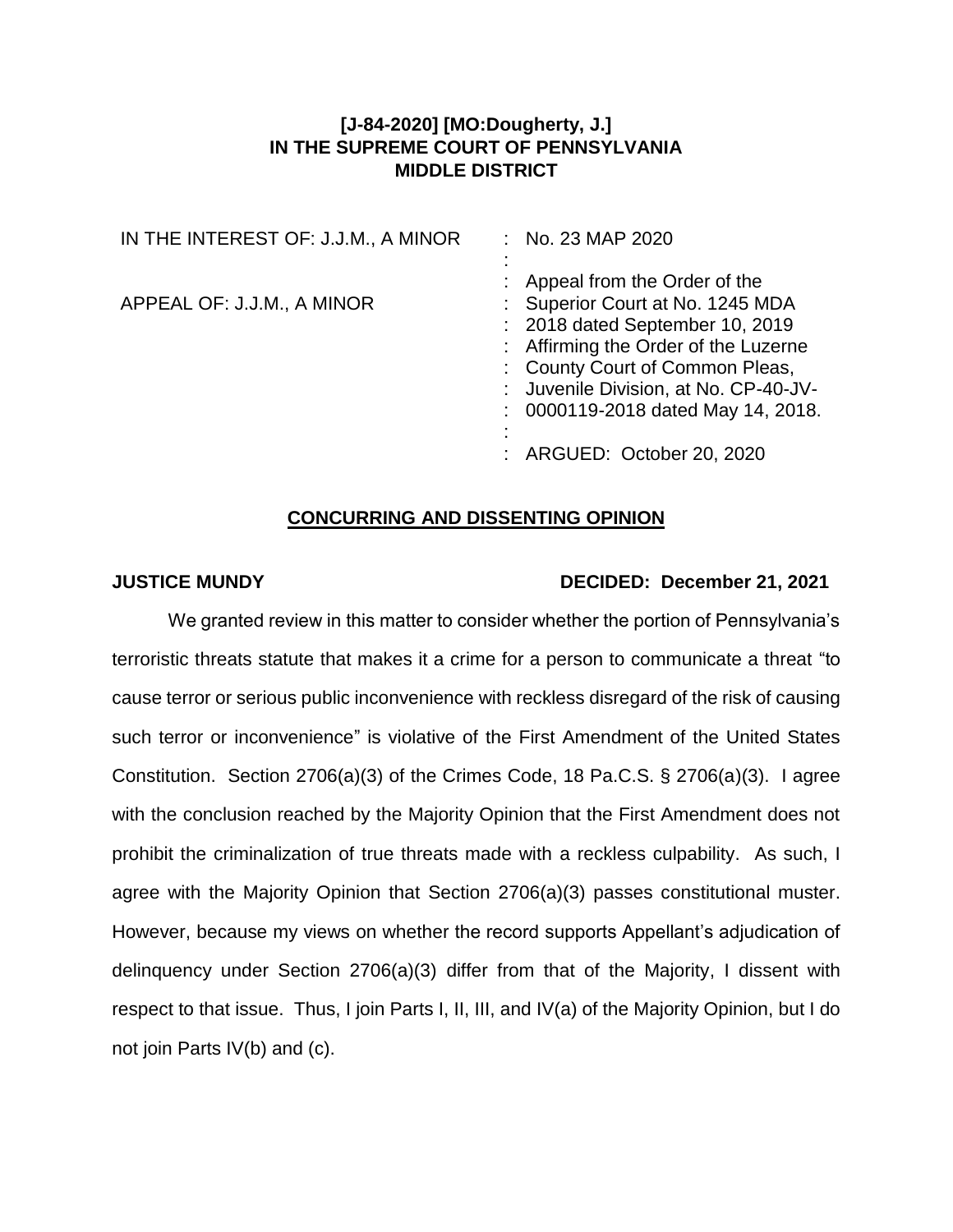## **[J-84-2020] [MO:Dougherty, J.] IN THE SUPREME COURT OF PENNSYLVANIA MIDDLE DISTRICT**

| IN THE INTEREST OF: J.J.M., A MINOR | : No. 23 MAP 2020                                                                                                                                                                                                                                               |
|-------------------------------------|-----------------------------------------------------------------------------------------------------------------------------------------------------------------------------------------------------------------------------------------------------------------|
| APPEAL OF: J.J.M., A MINOR          | : Appeal from the Order of the<br>: Superior Court at No. 1245 MDA<br>: 2018 dated September 10, 2019<br>: Affirming the Order of the Luzerne<br>: County Court of Common Pleas,<br>: Juvenile Division, at No. CP-40-JV-<br>: 0000119-2018 dated May 14, 2018. |
|                                     | : ARGUED: October 20, 2020                                                                                                                                                                                                                                      |

## **CONCURRING AND DISSENTING OPINION**

## **JUSTICE MUNDY DECIDED: December 21, 2021**

We granted review in this matter to consider whether the portion of Pennsylvania's terroristic threats statute that makes it a crime for a person to communicate a threat "to cause terror or serious public inconvenience with reckless disregard of the risk of causing such terror or inconvenience" is violative of the First Amendment of the United States Constitution. Section 2706(a)(3) of the Crimes Code, 18 Pa.C.S. § 2706(a)(3). I agree with the conclusion reached by the Majority Opinion that the First Amendment does not prohibit the criminalization of true threats made with a reckless culpability. As such, I agree with the Majority Opinion that Section 2706(a)(3) passes constitutional muster. However, because my views on whether the record supports Appellant's adjudication of delinquency under Section 2706(a)(3) differ from that of the Majority, I dissent with respect to that issue. Thus, I join Parts I, II, III, and IV(a) of the Majority Opinion, but I do not join Parts IV(b) and (c).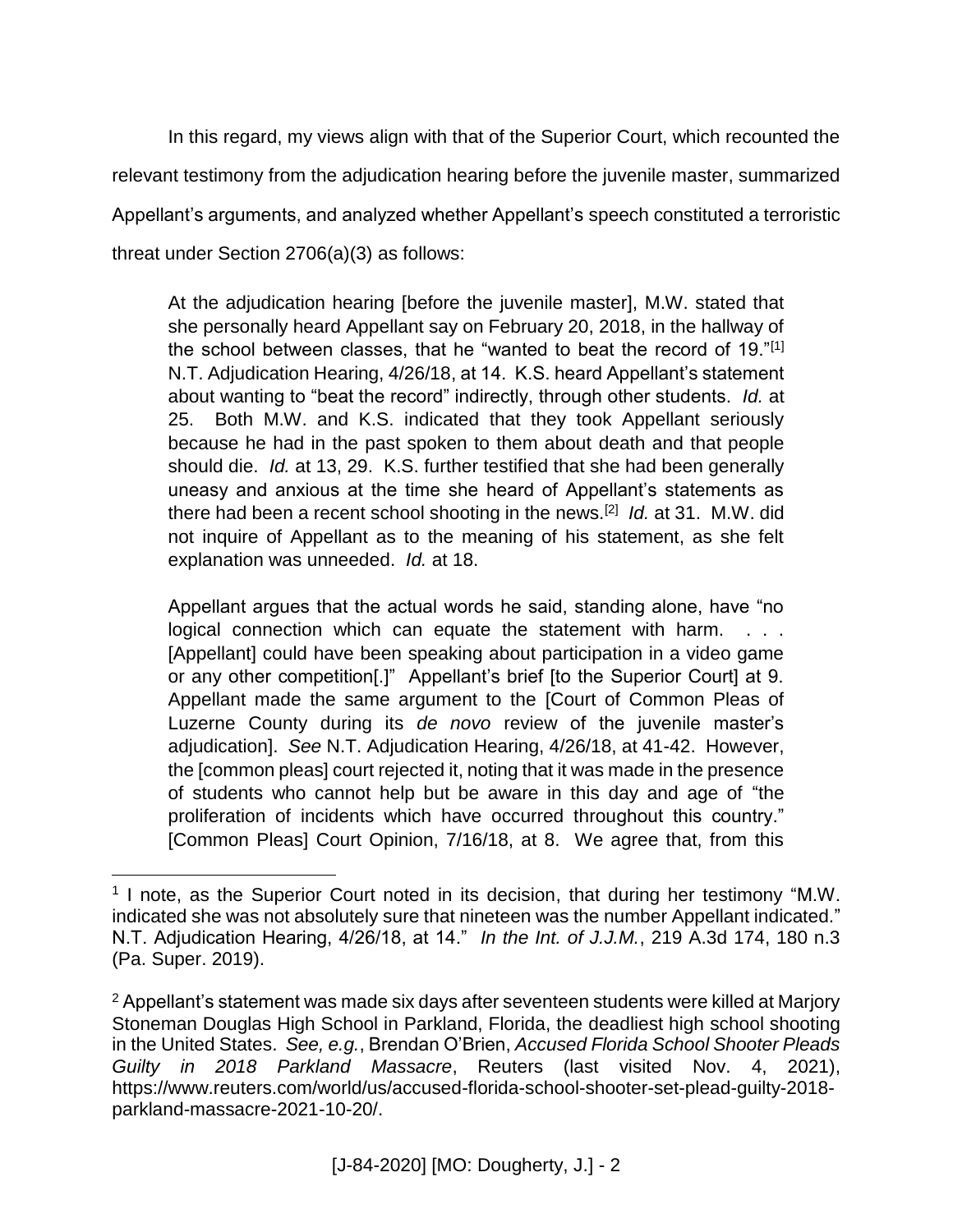In this regard, my views align with that of the Superior Court, which recounted the relevant testimony from the adjudication hearing before the juvenile master, summarized Appellant's arguments, and analyzed whether Appellant's speech constituted a terroristic threat under Section 2706(a)(3) as follows:

At the adjudication hearing [before the juvenile master], M.W. stated that she personally heard Appellant say on February 20, 2018, in the hallway of the school between classes, that he "wanted to beat the record of 19."<sup>[1]</sup> N.T. Adjudication Hearing, 4/26/18, at 14. K.S. heard Appellant's statement about wanting to "beat the record" indirectly, through other students. *Id.* at 25. Both M.W. and K.S. indicated that they took Appellant seriously because he had in the past spoken to them about death and that people should die. *Id.* at 13, 29. K.S. further testified that she had been generally uneasy and anxious at the time she heard of Appellant's statements as there had been a recent school shooting in the news.[2] *Id.* at 31. M.W. did not inquire of Appellant as to the meaning of his statement, as she felt explanation was unneeded. *Id.* at 18.

Appellant argues that the actual words he said, standing alone, have "no logical connection which can equate the statement with harm. . . . [Appellant] could have been speaking about participation in a video game or any other competition[.]" Appellant's brief [to the Superior Court] at 9. Appellant made the same argument to the [Court of Common Pleas of Luzerne County during its *de novo* review of the juvenile master's adjudication]. *See* N.T. Adjudication Hearing, 4/26/18, at 41-42. However, the [common pleas] court rejected it, noting that it was made in the presence of students who cannot help but be aware in this day and age of "the proliferation of incidents which have occurred throughout this country." [Common Pleas] Court Opinion, 7/16/18, at 8. We agree that, from this

 $\overline{a}$ 

<sup>&</sup>lt;sup>1</sup> I note, as the Superior Court noted in its decision, that during her testimony "M.W. indicated she was not absolutely sure that nineteen was the number Appellant indicated." N.T. Adjudication Hearing, 4/26/18, at 14." *In the Int. of J.J.M.*, 219 A.3d 174, 180 n.3 (Pa. Super. 2019).

<sup>&</sup>lt;sup>2</sup> Appellant's statement was made six days after seventeen students were killed at Marjory Stoneman Douglas High School in Parkland, Florida, the deadliest high school shooting in the United States. *See, e.g.*, Brendan O'Brien, *Accused Florida School Shooter Pleads Guilty in 2018 Parkland Massacre*, Reuters (last visited Nov. 4, 2021), https://www.reuters.com/world/us/accused-florida-school-shooter-set-plead-guilty-2018 parkland-massacre-2021-10-20/.